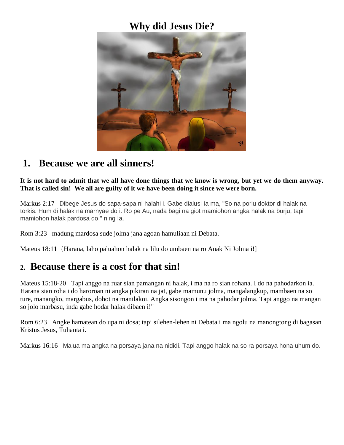## **Why did Jesus Die?**



## **1. Because we are all sinners!**

**It is not hard to admit that we all have done things that we know is wrong, but yet we do them anyway. That is called sin! We all are guilty of it we have been doing it since we were born.**

Markus 2:17 Dibege Jesus do sapa-sapa ni halahi i. Gabe dialusi Ia ma, "So na porlu doktor di halak na torkis. Hum di halak na marnyae do i. Ro pe Au, nada bagi na giot mamiohon angka halak na burju, tapi mamiohon halak pardosa do," ning Ia.

Rom 3:23 madung mardosa sude jolma jana agoan hamuliaan ni Debata.

Mateus 18:11 {Harana, laho paluahon halak na lilu do umbaen na ro Anak Ni Jolma i!]

#### **2. Because there is a cost for that sin!**

Mateus 15:18-20 Tapi anggo na ruar sian pamangan ni halak, i ma na ro sian rohana. I do na pahodarkon ia. Harana sian roha i do haroroan ni angka pikiran na jat, gabe mamunu jolma, mangalangkup, mambaen na so ture, manangko, margabus, dohot na manilakoi. Angka sisongon i ma na pahodar jolma. Tapi anggo na mangan so jolo marbasu, inda gabe hodar halak dibaen i!"

Rom 6:23 Angke hamatean do upa ni dosa; tapi silehen-lehen ni Debata i ma ngolu na manongtong di bagasan Kristus Jesus, Tuhanta i.

Markus 16:16 Malua ma angka na porsaya jana na nididi. Tapi anggo halak na so ra porsaya hona uhum do.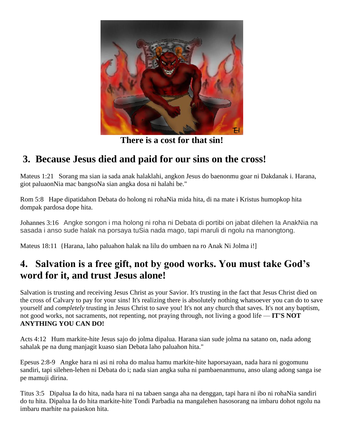

**There is a cost for that sin!**

## **3. Because Jesus died and paid for our sins on the cross!**

Mateus 1:21 Sorang ma sian ia sada anak halaklahi, angkon Jesus do baenonmu goar ni Dakdanak i. Harana, giot paluaonNia mac bangsoNa sian angka dosa ni halahi be."

Rom 5:8 Hape dipatidahon Debata do holong ni rohaNia mida hita, di na mate i Kristus humopkop hita dompak pardosa dope hita.

Johannes 3:16 Angke songon i ma holong ni roha ni Debata di portibi on jabat dilehen Ia AnakNia na sasada i anso sude halak na porsaya tuSia nada mago, tapi maruli di ngolu na manongtong.

Mateus 18:11 {Harana, laho paluahon halak na lilu do umbaen na ro Anak Ni Jolma i!]

## **4. Salvation is a free gift, not by good works. You must take God's word for it, and trust Jesus alone!**

Salvation is trusting and receiving Jesus Christ as your Savior. It's trusting in the fact that Jesus Christ died on the cross of Calvary to pay for your sins! It's realizing there is absolutely nothing whatsoever you can do to save yourself and *completely* trusting in Jesus Christ to save you! It's not any church that saves. It's not any baptism, not good works, not sacraments, not repenting, not praying through, not living a good life — **IT'S NOT ANYTHING YOU CAN DO!**

Acts 4:12 Hum markite-hite Jesus sajo do jolma dipalua. Harana sian sude jolma na satano on, nada adong sahalak pe na dung manjagit kuaso sian Debata laho paluahon hita."

Epesus 2:8-9 Angke hara ni asi ni roha do malua hamu markite-hite haporsayaan, nada hara ni gogomunu sandiri, tapi silehen-lehen ni Debata do i; nada sian angka suha ni pambaenanmunu, anso ulang adong sanga ise pe mamuji dirina.

Titus 3:5 Dipalua Ia do hita, nada hara ni na tabaen sanga aha na denggan, tapi hara ni ibo ni rohaNia sandiri do tu hita. Dipalua Ia do hita markite-hite Tondi Parbadia na mangalehen hasosorang na imbaru dohot ngolu na imbaru marhite na paiaskon hita.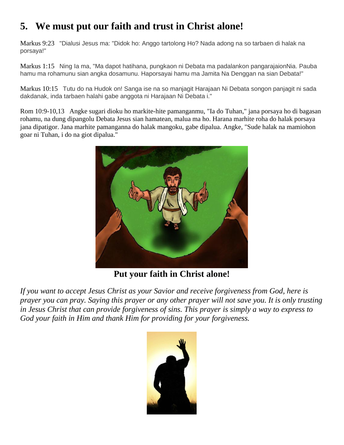# **5. We must put our faith and trust in Christ alone!**

Markus 9:23 "Dialusi Jesus ma: "Didok ho: Anggo tartolong Ho? Nada adong na so tarbaen di halak na porsaya!"

Markus 1:15 Ning Ia ma, "Ma dapot hatihana, pungkaon ni Debata ma padalankon pangarajaionNia. Pauba hamu ma rohamunu sian angka dosamunu. Haporsayai hamu ma Jamita Na Denggan na sian Debata!"

Markus 10:15 Tutu do na Hudok on! Sanga ise na so manjagit Harajaan Ni Debata songon panjagit ni sada dakdanak, inda tarbaen halahi gabe anggota ni Harajaan Ni Debata i."

Rom 10:9-10,13 Angke sugari dioku ho markite-hite pamanganmu, "Ia do Tuhan," jana porsaya ho di bagasan rohamu, na dung dipangolu Debata Jesus sian hamatean, malua ma ho. Harana marhite roha do halak porsaya jana dipatigor. Jana marhite pamanganna do halak mangoku, gabe dipalua. Angke, "Sude halak na mamiohon goar ni Tuhan, i do na giot dipalua."



**Put your faith in Christ alone!**

*If you want to accept Jesus Christ as your Savior and receive forgiveness from God, here is prayer you can pray. Saying this prayer or any other prayer will not save you. It is only trusting in Jesus Christ that can provide forgiveness of sins. This prayer is simply a way to express to God your faith in Him and thank Him for providing for your forgiveness.*